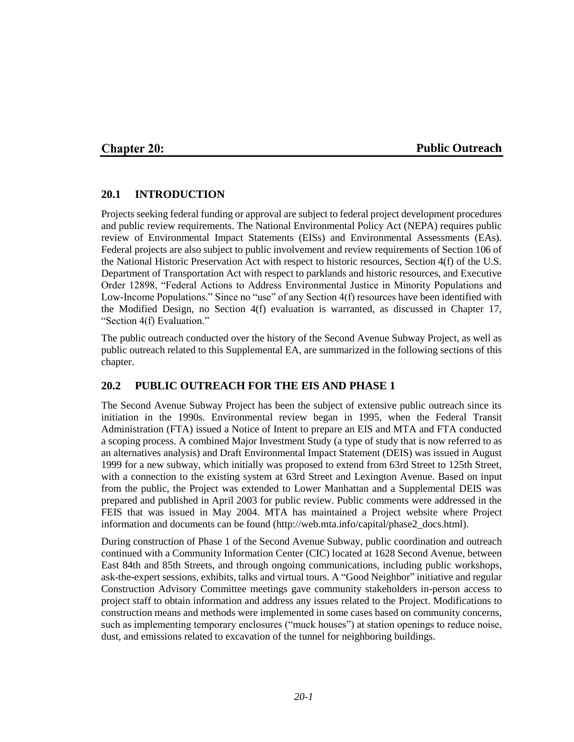### **Chapter 20:**

#### **Public Outreach**

### **20.1 INTRODUCTION**

Projects seeking federal funding or approval are subject to federal project development procedures and public review requirements. The National Environmental Policy Act (NEPA) requires public review of Environmental Impact Statements (EISs) and Environmental Assessments (EAs). Federal projects are also subject to public involvement and review requirements of Section 106 of the National Historic Preservation Act with respect to historic resources, Section 4(f) of the U.S. Department of Transportation Act with respect to parklands and historic resources, and Executive Order 12898, "Federal Actions to Address Environmental Justice in Minority Populations and Low-Income Populations." Since no "use" of any Section 4(f) resources have been identified with the Modified Design, no Section 4(f) evaluation is warranted, as discussed in Chapter 17, "Section 4(f) Evaluation."

The public outreach conducted over the history of the Second Avenue Subway Project, as well as public outreach related to this Supplemental EA, are summarized in the following sections of this chapter.

# **20.2 PUBLIC OUTREACH FOR THE EIS AND PHASE 1**

The Second Avenue Subway Project has been the subject of extensive public outreach since its initiation in the 1990s. Environmental review began in 1995, when the Federal Transit Administration (FTA) issued a Notice of Intent to prepare an EIS and MTA and FTA conducted a scoping process. A combined Major Investment Study (a type of study that is now referred to as an alternatives analysis) and Draft Environmental Impact Statement (DEIS) was issued in August 1999 for a new subway, which initially was proposed to extend from 63rd Street to 125th Street, with a connection to the existing system at 63rd Street and Lexington Avenue. Based on input from the public, the Project was extended to Lower Manhattan and a Supplemental DEIS was prepared and published in April 2003 for public review. Public comments were addressed in the FEIS that was issued in May 2004. MTA has maintained a Project website where Project information and documents can be found (http://web.mta.info/capital/phase2\_docs.html).

During construction of Phase 1 of the Second Avenue Subway, public coordination and outreach continued with a Community Information Center (CIC) located at 1628 Second Avenue, between East 84th and 85th Streets, and through ongoing communications, including public workshops, ask-the-expert sessions, exhibits, talks and virtual tours. A "Good Neighbor" initiative and regular Construction Advisory Committee meetings gave community stakeholders in-person access to project staff to obtain information and address any issues related to the Project. Modifications to construction means and methods were implemented in some cases based on community concerns, such as implementing temporary enclosures ("muck houses") at station openings to reduce noise, dust, and emissions related to excavation of the tunnel for neighboring buildings.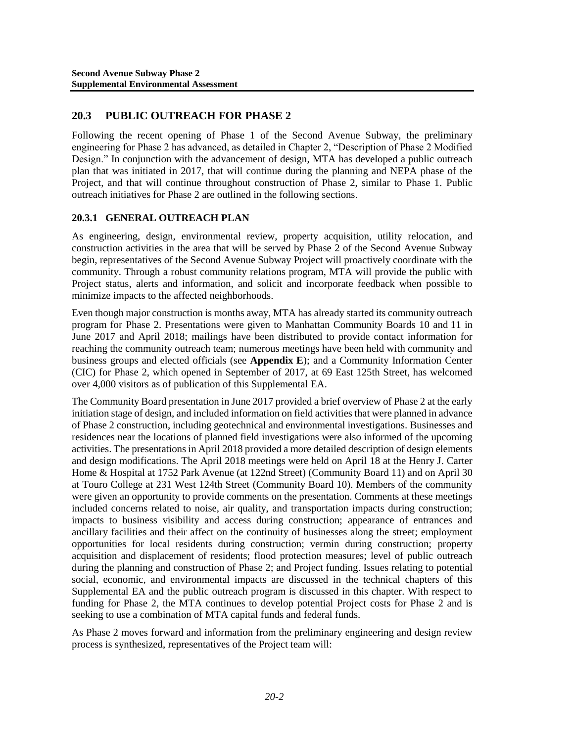# **20.3 PUBLIC OUTREACH FOR PHASE 2**

Following the recent opening of Phase 1 of the Second Avenue Subway, the preliminary engineering for Phase 2 has advanced, as detailed in Chapter 2, "Description of Phase 2 Modified Design." In conjunction with the advancement of design, MTA has developed a public outreach plan that was initiated in 2017, that will continue during the planning and NEPA phase of the Project, and that will continue throughout construction of Phase 2, similar to Phase 1. Public outreach initiatives for Phase 2 are outlined in the following sections.

# **20.3.1 GENERAL OUTREACH PLAN**

As engineering, design, environmental review, property acquisition, utility relocation, and construction activities in the area that will be served by Phase 2 of the Second Avenue Subway begin, representatives of the Second Avenue Subway Project will proactively coordinate with the community. Through a robust community relations program, MTA will provide the public with Project status, alerts and information, and solicit and incorporate feedback when possible to minimize impacts to the affected neighborhoods.

Even though major construction is months away, MTA has already started its community outreach program for Phase 2. Presentations were given to Manhattan Community Boards 10 and 11 in June 2017 and April 2018; mailings have been distributed to provide contact information for reaching the community outreach team; numerous meetings have been held with community and business groups and elected officials (see **Appendix E**); and a Community Information Center (CIC) for Phase 2, which opened in September of 2017, at 69 East 125th Street, has welcomed over 4,000 visitors as of publication of this Supplemental EA.

The Community Board presentation in June 2017 provided a brief overview of Phase 2 at the early initiation stage of design, and included information on field activities that were planned in advance of Phase 2 construction, including geotechnical and environmental investigations. Businesses and residences near the locations of planned field investigations were also informed of the upcoming activities. The presentations in April 2018 provided a more detailed description of design elements and design modifications. The April 2018 meetings were held on April 18 at the Henry J. Carter Home & Hospital at 1752 Park Avenue (at 122nd Street) (Community Board 11) and on April 30 at Touro College at 231 West 124th Street (Community Board 10). Members of the community were given an opportunity to provide comments on the presentation. Comments at these meetings included concerns related to noise, air quality, and transportation impacts during construction; impacts to business visibility and access during construction; appearance of entrances and ancillary facilities and their affect on the continuity of businesses along the street; employment opportunities for local residents during construction; vermin during construction; property acquisition and displacement of residents; flood protection measures; level of public outreach during the planning and construction of Phase 2; and Project funding. Issues relating to potential social, economic, and environmental impacts are discussed in the technical chapters of this Supplemental EA and the public outreach program is discussed in this chapter. With respect to funding for Phase 2, the MTA continues to develop potential Project costs for Phase 2 and is seeking to use a combination of MTA capital funds and federal funds.

As Phase 2 moves forward and information from the preliminary engineering and design review process is synthesized, representatives of the Project team will: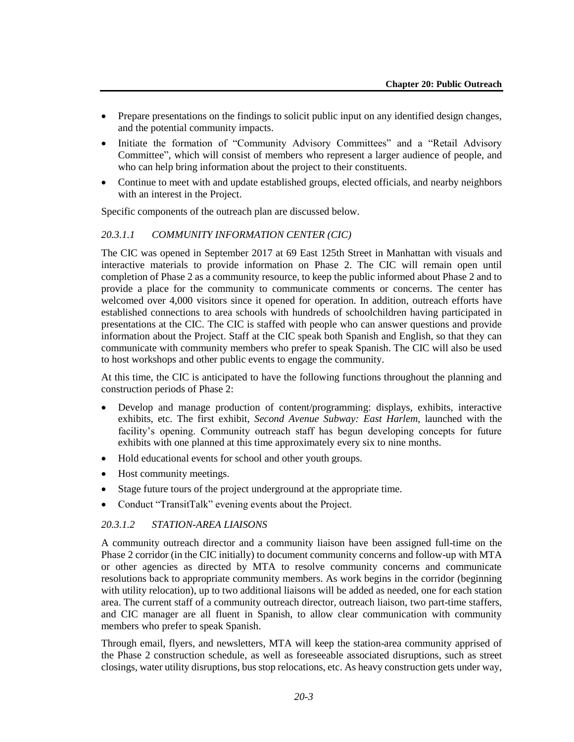- Prepare presentations on the findings to solicit public input on any identified design changes, and the potential community impacts.
- Initiate the formation of "Community Advisory Committees" and a "Retail Advisory Committee", which will consist of members who represent a larger audience of people, and who can help bring information about the project to their constituents.
- Continue to meet with and update established groups, elected officials, and nearby neighbors with an interest in the Project.

Specific components of the outreach plan are discussed below.

# *20.3.1.1 COMMUNITY INFORMATION CENTER (CIC)*

The CIC was opened in September 2017 at 69 East 125th Street in Manhattan with visuals and interactive materials to provide information on Phase 2. The CIC will remain open until completion of Phase 2 as a community resource, to keep the public informed about Phase 2 and to provide a place for the community to communicate comments or concerns. The center has welcomed over 4,000 visitors since it opened for operation. In addition, outreach efforts have established connections to area schools with hundreds of schoolchildren having participated in presentations at the CIC. The CIC is staffed with people who can answer questions and provide information about the Project. Staff at the CIC speak both Spanish and English, so that they can communicate with community members who prefer to speak Spanish. The CIC will also be used to host workshops and other public events to engage the community.

At this time, the CIC is anticipated to have the following functions throughout the planning and construction periods of Phase 2:

- Develop and manage production of content/programming: displays, exhibits, interactive exhibits, etc. The first exhibit, *Second Avenue Subway: East Harlem*, launched with the facility's opening. Community outreach staff has begun developing concepts for future exhibits with one planned at this time approximately every six to nine months.
- Hold educational events for school and other youth groups.
- Host community meetings.
- Stage future tours of the project underground at the appropriate time.
- Conduct "TransitTalk" evening events about the Project.

#### *20.3.1.2 STATION-AREA LIAISONS*

A community outreach director and a community liaison have been assigned full-time on the Phase 2 corridor (in the CIC initially) to document community concerns and follow-up with MTA or other agencies as directed by MTA to resolve community concerns and communicate resolutions back to appropriate community members. As work begins in the corridor (beginning with utility relocation), up to two additional liaisons will be added as needed, one for each station area. The current staff of a community outreach director, outreach liaison, two part-time staffers, and CIC manager are all fluent in Spanish, to allow clear communication with community members who prefer to speak Spanish.

Through email, flyers, and newsletters, MTA will keep the station-area community apprised of the Phase 2 construction schedule, as well as foreseeable associated disruptions, such as street closings, water utility disruptions, bus stop relocations, etc. As heavy construction gets under way,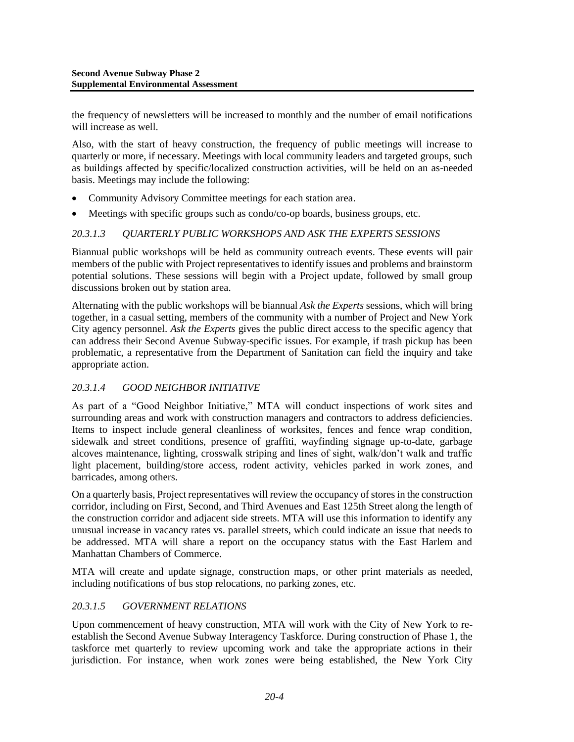the frequency of newsletters will be increased to monthly and the number of email notifications will increase as well.

Also, with the start of heavy construction, the frequency of public meetings will increase to quarterly or more, if necessary. Meetings with local community leaders and targeted groups, such as buildings affected by specific/localized construction activities, will be held on an as-needed basis. Meetings may include the following:

- Community Advisory Committee meetings for each station area.
- Meetings with specific groups such as condo/co-op boards, business groups, etc.

### *20.3.1.3 QUARTERLY PUBLIC WORKSHOPS AND ASK THE EXPERTS SESSIONS*

Biannual public workshops will be held as community outreach events. These events will pair members of the public with Project representatives to identify issues and problems and brainstorm potential solutions. These sessions will begin with a Project update, followed by small group discussions broken out by station area.

Alternating with the public workshops will be biannual *Ask the Experts* sessions, which will bring together, in a casual setting, members of the community with a number of Project and New York City agency personnel. *Ask the Experts* gives the public direct access to the specific agency that can address their Second Avenue Subway-specific issues. For example, if trash pickup has been problematic, a representative from the Department of Sanitation can field the inquiry and take appropriate action.

# *20.3.1.4 GOOD NEIGHBOR INITIATIVE*

As part of a "Good Neighbor Initiative," MTA will conduct inspections of work sites and surrounding areas and work with construction managers and contractors to address deficiencies. Items to inspect include general cleanliness of worksites, fences and fence wrap condition, sidewalk and street conditions, presence of graffiti, wayfinding signage up-to-date, garbage alcoves maintenance, lighting, crosswalk striping and lines of sight, walk/don't walk and traffic light placement, building/store access, rodent activity, vehicles parked in work zones, and barricades, among others.

On a quarterly basis, Project representatives will review the occupancy of stores in the construction corridor, including on First, Second, and Third Avenues and East 125th Street along the length of the construction corridor and adjacent side streets. MTA will use this information to identify any unusual increase in vacancy rates vs. parallel streets, which could indicate an issue that needs to be addressed. MTA will share a report on the occupancy status with the East Harlem and Manhattan Chambers of Commerce.

MTA will create and update signage, construction maps, or other print materials as needed, including notifications of bus stop relocations, no parking zones, etc.

# *20.3.1.5 GOVERNMENT RELATIONS*

Upon commencement of heavy construction, MTA will work with the City of New York to reestablish the Second Avenue Subway Interagency Taskforce. During construction of Phase 1, the taskforce met quarterly to review upcoming work and take the appropriate actions in their jurisdiction. For instance, when work zones were being established, the New York City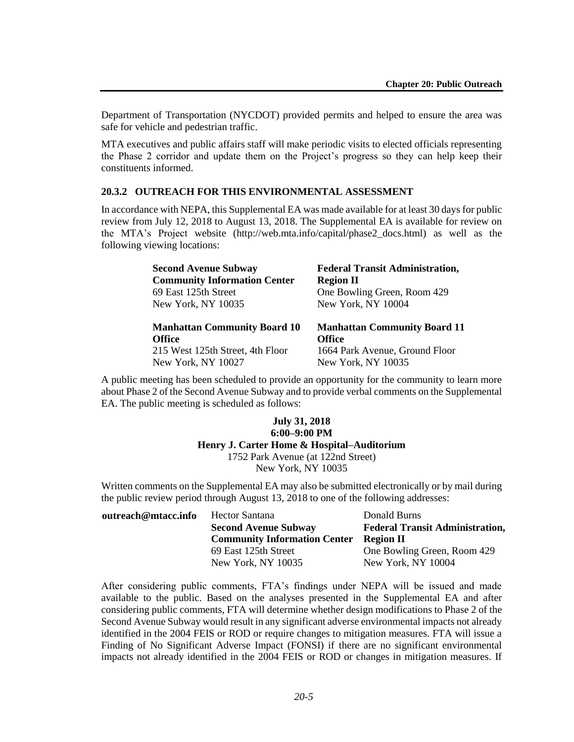Department of Transportation (NYCDOT) provided permits and helped to ensure the area was safe for vehicle and pedestrian traffic.

MTA executives and public affairs staff will make periodic visits to elected officials representing the Phase 2 corridor and update them on the Project's progress so they can help keep their constituents informed.

#### **20.3.2 OUTREACH FOR THIS ENVIRONMENTAL ASSESSMENT**

In accordance with NEPA, this Supplemental EA was made available for at least 30 days for public review from July 12, 2018 to August 13, 2018. The Supplemental EA is available for review on the MTA's Project website (http://web.mta.info/capital/phase2\_docs.html) as well as the following viewing locations:

| <b>Second Avenue Subway</b>         | <b>Federal Transit Administration,</b> |
|-------------------------------------|----------------------------------------|
| <b>Community Information Center</b> | <b>Region II</b>                       |
| 69 East 125th Street                | One Bowling Green, Room 429            |
| New York, NY 10035                  | New York, NY 10004                     |
|                                     |                                        |
| <b>Manhattan Community Board 10</b> | <b>Manhattan Community Board 11</b>    |
| <b>Office</b>                       | <b>Office</b>                          |
| 215 West 125th Street, 4th Floor    | 1664 Park Avenue, Ground Floor         |

A public meeting has been scheduled to provide an opportunity for the community to learn more about Phase 2 of the Second Avenue Subway and to provide verbal comments on the Supplemental EA. The public meeting is scheduled as follows:

#### **July 31, 2018 6:00–9:00 PM Henry J. Carter Home & Hospital–Auditorium** 1752 Park Avenue (at 122nd Street) New York, NY 10035

Written comments on the Supplemental EA may also be submitted electronically or by mail during the public review period through August 13, 2018 to one of the following addresses:

| outreach@mtacc.info | Hector Santana                      | Donald Burns                           |
|---------------------|-------------------------------------|----------------------------------------|
|                     | <b>Second Avenue Subway</b>         | <b>Federal Transit Administration,</b> |
|                     | <b>Community Information Center</b> | Region II                              |
|                     | 69 East 125th Street                | One Bowling Green, Room 429            |
|                     | New York, NY 10035                  | New York, NY 10004                     |

After considering public comments, FTA's findings under NEPA will be issued and made available to the public. Based on the analyses presented in the Supplemental EA and after considering public comments, FTA will determine whether design modifications to Phase 2 of the Second Avenue Subway would result in any significant adverse environmental impacts not already identified in the 2004 FEIS or ROD or require changes to mitigation measures. FTA will issue a Finding of No Significant Adverse Impact (FONSI) if there are no significant environmental impacts not already identified in the 2004 FEIS or ROD or changes in mitigation measures. If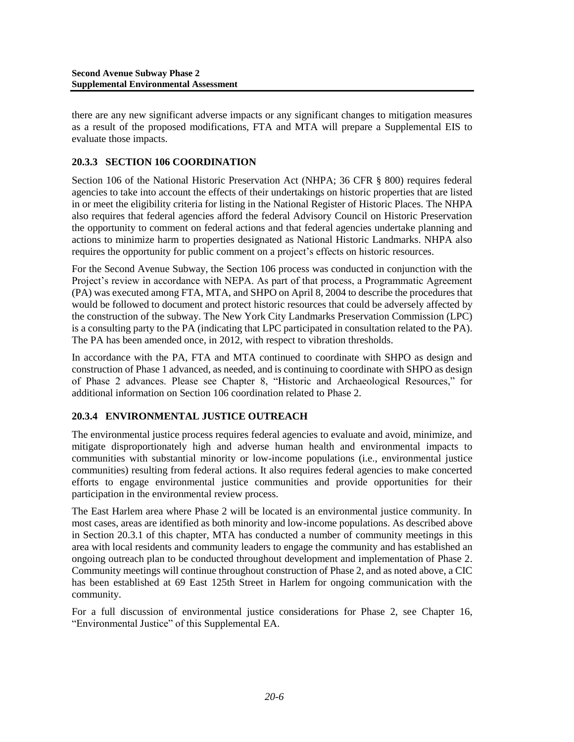there are any new significant adverse impacts or any significant changes to mitigation measures as a result of the proposed modifications, FTA and MTA will prepare a Supplemental EIS to evaluate those impacts.

# **20.3.3 SECTION 106 COORDINATION**

Section 106 of the National Historic Preservation Act (NHPA; 36 CFR § 800) requires federal agencies to take into account the effects of their undertakings on historic properties that are listed in or meet the eligibility criteria for listing in the National Register of Historic Places. The NHPA also requires that federal agencies afford the federal Advisory Council on Historic Preservation the opportunity to comment on federal actions and that federal agencies undertake planning and actions to minimize harm to properties designated as National Historic Landmarks. NHPA also requires the opportunity for public comment on a project's effects on historic resources.

For the Second Avenue Subway, the Section 106 process was conducted in conjunction with the Project's review in accordance with NEPA. As part of that process, a Programmatic Agreement (PA) was executed among FTA, MTA, and SHPO on April 8, 2004 to describe the procedures that would be followed to document and protect historic resources that could be adversely affected by the construction of the subway. The New York City Landmarks Preservation Commission (LPC) is a consulting party to the PA (indicating that LPC participated in consultation related to the PA). The PA has been amended once, in 2012, with respect to vibration thresholds.

In accordance with the PA, FTA and MTA continued to coordinate with SHPO as design and construction of Phase 1 advanced, as needed, and is continuing to coordinate with SHPO as design of Phase 2 advances. Please see Chapter 8, "Historic and Archaeological Resources," for additional information on Section 106 coordination related to Phase 2.

# **20.3.4 ENVIRONMENTAL JUSTICE OUTREACH**

The environmental justice process requires federal agencies to evaluate and avoid, minimize, and mitigate disproportionately high and adverse human health and environmental impacts to communities with substantial minority or low-income populations (i.e., environmental justice communities) resulting from federal actions. It also requires federal agencies to make concerted efforts to engage environmental justice communities and provide opportunities for their participation in the environmental review process.

The East Harlem area where Phase 2 will be located is an environmental justice community. In most cases, areas are identified as both minority and low-income populations. As described above in Section 20.3.1 of this chapter, MTA has conducted a number of community meetings in this area with local residents and community leaders to engage the community and has established an ongoing outreach plan to be conducted throughout development and implementation of Phase 2. Community meetings will continue throughout construction of Phase 2, and as noted above, a CIC has been established at 69 East 125th Street in Harlem for ongoing communication with the community.

For a full discussion of environmental justice considerations for Phase 2, see Chapter 16, "Environmental Justice" of this Supplemental EA.